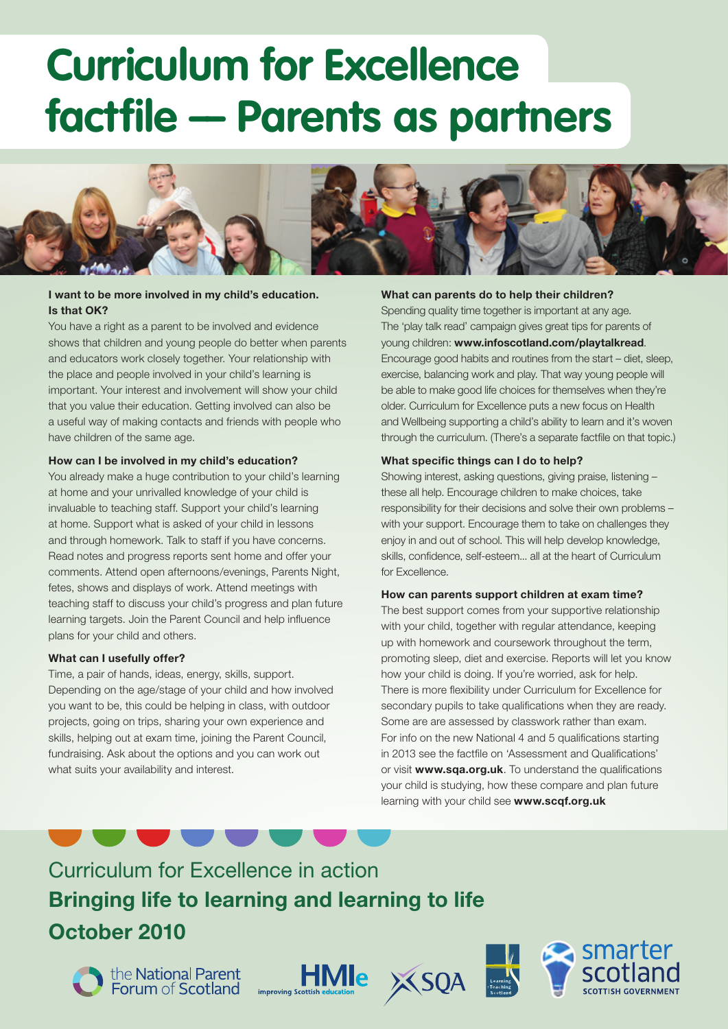# **Curriculum for Excellence factfile –– Parents as partners**



# **I want to be more involved in my child's education. Is that OK?**

You have a right as a parent to be involved and evidence shows that children and young people do better when parents and educators work closely together. Your relationship with the place and people involved in your child's learning is important. Your interest and involvement will show your child that you value their education. Getting involved can also be a useful way of making contacts and friends with people who have children of the same age.

# **How can I be involved in my child's education?**

You already make a huge contribution to your child's learning at home and your unrivalled knowledge of your child is invaluable to teaching staff. Support your child's learning at home. Support what is asked of your child in lessons and through homework. Talk to staff if you have concerns. Read notes and progress reports sent home and offer your comments. Attend open afternoons/evenings, Parents Night, fetes, shows and displays of work. Attend meetings with teaching staff to discuss your child's progress and plan future learning targets. Join the Parent Council and help influence plans for your child and others.

# **What can I usefully offer?**

Time, a pair of hands, ideas, energy, skills, support. Depending on the age/stage of your child and how involved you want to be, this could be helping in class, with outdoor projects, going on trips, sharing your own experience and skills, helping out at exam time, joining the Parent Council, fundraising. Ask about the options and you can work out what suits your availability and interest.

# **What can parents do to help their children?**

Spending quality time together is important at any age. The 'play talk read' campaign gives great tips for parents of young children: **www.infoscotland.com/playtalkread**. Encourage good habits and routines from the start – diet, sleep, exercise, balancing work and play. That way young people will be able to make good life choices for themselves when they're older. Curriculum for Excellence puts a new focus on Health and Wellbeing supporting a child's ability to learn and it's woven through the curriculum. (There's a separate factfile on that topic.)

# **What specific things can I do to help?**

Showing interest, asking questions, giving praise, listening these all help. Encourage children to make choices, take responsibility for their decisions and solve their own problems – with your support. Encourage them to take on challenges they enjoy in and out of school. This will help develop knowledge, skills, confidence, self-esteem... all at the heart of Curriculum for Excellence.

## **How can parents support children at exam time?**

The best support comes from your supportive relationship with your child, together with regular attendance, keeping up with homework and coursework throughout the term, promoting sleep, diet and exercise. Reports will let you know how your child is doing. If you're worried, ask for help. There is more flexibility under Curriculum for Excellence for secondary pupils to take qualifications when they are ready. Some are are assessed by classwork rather than exam. For info on the new National 4 and 5 qualifications starting in 2013 see the factfile on 'Assessment and Qualifications' or visit **www.sqa.org.uk**. To understand the qualifications your child is studying, how these compare and plan future learning with your child see **www.scqf.org.uk**

# Curriculum for Excellence in action **Bringing life to learning and learning to life October 2010**